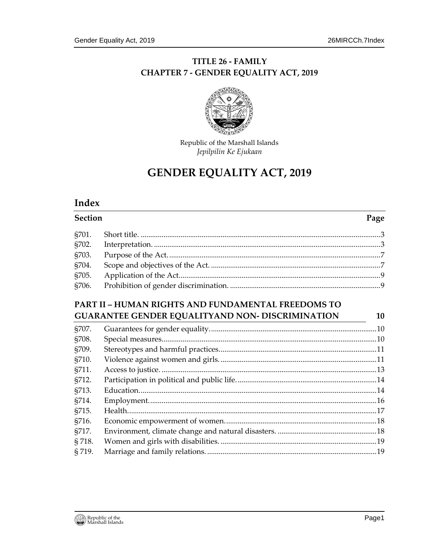#### TITLE 26 - FAMILY **CHAPTER 7 - GENDER EQUALITY ACT, 2019**



Republic of the Marshall Islands Jepilpilin Ke Ejukaan

# **GENDER EQUALITY ACT, 2019**

#### **Index**

**Section** Page §701. §702. §703. §704. §705. §706. 

#### **PART II - HUMAN RIGHTS AND FUNDAMENTAL FREEDOMS TO GUARANTEE GENDER EQUALITYAND NON- DISCRIMINATION**

| S <sub>707</sub> . |  |
|--------------------|--|
| §708.              |  |
| S <sub>709</sub> . |  |
| §710.              |  |
| §711.              |  |
| §712.              |  |
| §713.              |  |
| §714.              |  |
| SZ15.              |  |
| §716.              |  |
| §717.              |  |
| §718.              |  |
| §719.              |  |

10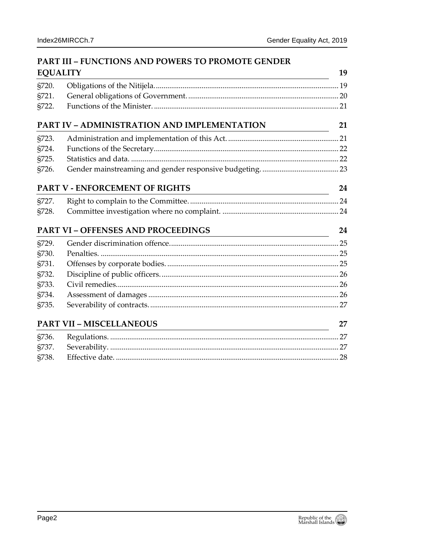19

| <b>PART III - FUNCTIONS AND POWERS TO PROMOTE GENDER</b> |  |
|----------------------------------------------------------|--|
| <b>EQUALITY</b>                                          |  |

| §720. |                                             |    |  |  |  |  |  |  |  |
|-------|---------------------------------------------|----|--|--|--|--|--|--|--|
| §721. |                                             |    |  |  |  |  |  |  |  |
| §722. |                                             |    |  |  |  |  |  |  |  |
|       | PART IV - ADMINISTRATION AND IMPLEMENTATION | 21 |  |  |  |  |  |  |  |
| §723. |                                             |    |  |  |  |  |  |  |  |
| §724. |                                             |    |  |  |  |  |  |  |  |
| §725. |                                             |    |  |  |  |  |  |  |  |
| §726. |                                             |    |  |  |  |  |  |  |  |
|       | PART V - ENFORCEMENT OF RIGHTS              | 24 |  |  |  |  |  |  |  |
| §727. |                                             |    |  |  |  |  |  |  |  |
| §728. |                                             |    |  |  |  |  |  |  |  |
|       | PART VI - OFFENSES AND PROCEEDINGS          | 24 |  |  |  |  |  |  |  |
| §729. |                                             |    |  |  |  |  |  |  |  |
| §730. |                                             |    |  |  |  |  |  |  |  |
| §731. |                                             |    |  |  |  |  |  |  |  |
| §732. |                                             |    |  |  |  |  |  |  |  |
| §733. |                                             |    |  |  |  |  |  |  |  |
| §734. |                                             |    |  |  |  |  |  |  |  |
| §735. |                                             |    |  |  |  |  |  |  |  |
|       |                                             |    |  |  |  |  |  |  |  |
|       | <b>PART VII - MISCELLANEOUS</b>             | 27 |  |  |  |  |  |  |  |
| §736. |                                             |    |  |  |  |  |  |  |  |
| §737. |                                             |    |  |  |  |  |  |  |  |
| §738. |                                             |    |  |  |  |  |  |  |  |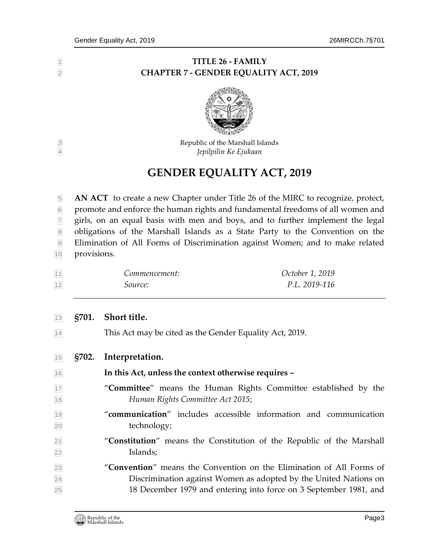#### **TITLE 26 - FAMILY CHAPTER 7 - GENDER EQUALITY ACT, 2019**



 Republic of the Marshall Islands *Jepilpilin Ke Ejukaan*

# **GENDER EQUALITY ACT, 2019**

 **AN ACT** to create a new Chapter under Title 26 of the MIRC to recognize, protect, promote and enforce the human rights and fundamental freedoms of all women and  $\frac{1}{2}$  girls, on an equal basis with men and boys, and to further implement the legal 8 obligations of the Marshall Islands as a State Party to the Convention on the Elimination of All Forms of Discrimination against Women; and to make related provisions.

| 11 | Commencement:  | October 1, 2019 |
|----|----------------|-----------------|
| 12 | <i>Source:</i> | P.L. 2019-116   |

#### <span id="page-2-0"></span>**§701. Short title.**

<span id="page-2-1"></span>This Act may be cited as the Gender Equality Act, 2019.

| 15 | §702. | Interpretation. |
|----|-------|-----------------|
|----|-------|-----------------|

- **In this Act, unless the context otherwise requires –**
- "**Committee**" means the Human Rights Committee established by the *Human Rights Committee Act 2015*;
- "**communication**" includes accessible information and communication technology;
- "**Constitution**" means the Constitution of the Republic of the Marshall Islands;
- "**Convention**" means the Convention on the Elimination of All Forms of Discrimination against Women as adopted by the United Nations on 18 December 1979 and entering into force on 3 September 1981, and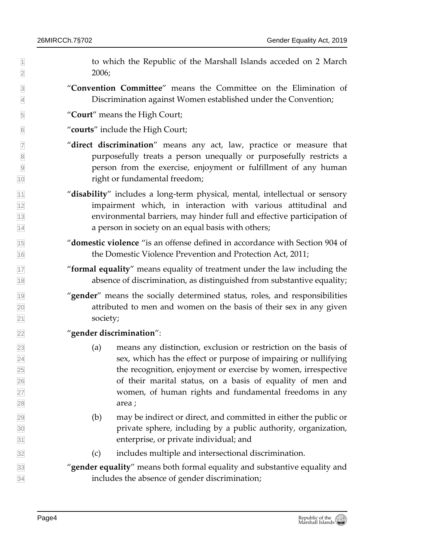$\parallel$  1 to which the Republic of the Marshall Islands acceded on 2 March  $2006;$ 

- "**Convention Committee**" means the Committee on the Elimination of Discrimination against Women established under the Convention;
- "**Court**" means the High Court;
- "**courts**" include the High Court;
- "**direct discrimination**" means any act, law, practice or measure that purposefully treats a person unequally or purposefully restricts a person from the exercise, enjoyment or fulfillment of any human right or fundamental freedom;
- "**disability**" includes a long-term physical, mental, intellectual or sensory impairment which, in interaction with various attitudinal and environmental barriers, may hinder full and effective participation of a person in society on an equal basis with others;
- "**domestic violence** "is an offense defined in accordance with Section 904 of the Domestic Violence Prevention and Protection Act, 2011;
- "**formal equality**" means equality of treatment under the law including the absence of discrimination, as distinguished from substantive equality;
- <sup>19</sup> "gender" means the socially determined status, roles, and responsibilities attributed to men and women on the basis of their sex in any given society;

#### "**gender discrimination**":

- (a) means any distinction, exclusion or restriction on the basis of sex, which has the effect or purpose of impairing or nullifying the recognition, enjoyment or exercise by women, irrespective of their marital status, on a basis of equality of men and women, of human rights and fundamental freedoms in any area ;
- $\frac{29}{29}$  (b) may be indirect or direct, and committed in either the public or private sphere, including by a public authority, organization, enterprise, or private individual; and
- (c) includes multiple and intersectional discrimination.
- "**gender equality**" means both formal equality and substantive equality and includes the absence of gender discrimination;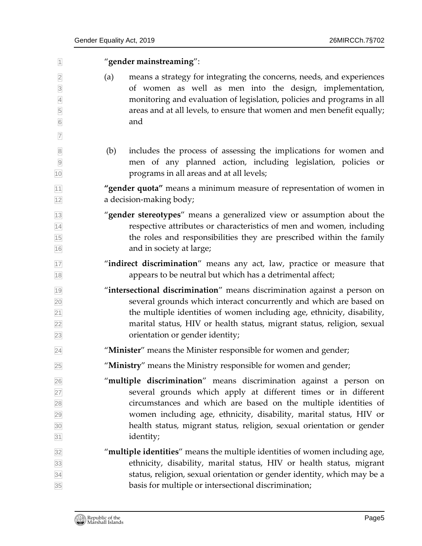"**gender mainstreaming**": (a) means a strategy for integrating the concerns, needs, and experiences of women as well as men into the design, implementation, monitoring and evaluation of legislation, policies and programs in all areas and at all levels, to ensure that women and men benefit equally; and (b) includes the process of assessing the implications for women and men of any planned action, including legislation, policies or programs in all areas and at all levels; **"gender quota"** means a minimum measure of representation of women in a decision-making body; "**gender stereotypes**" means a generalized view or assumption about the respective attributes or characteristics of men and women, including the roles and responsibilities they are prescribed within the family and in society at large; "**indirect discrimination**" means any act, law, practice or measure that **18** appears to be neutral but which has a detrimental affect; "**intersectional discrimination**" means discrimination against a person on several grounds which interact concurrently and which are based on  $\mathbb{R}^2$  the multiple identities of women including age, ethnicity, disability, marital status, HIV or health status, migrant status, religion, sexual orientation or gender identity; "**Minister**" means the Minister responsible for women and gender; "**Ministry**" means the Ministry responsible for women and gender; "**multiple discrimination**" means discrimination against a person on several grounds which apply at different times or in different circumstances and which are based on the multiple identities of women including age, ethnicity, disability, marital status, HIV or health status, migrant status, religion, sexual orientation or gender identity; "**multiple identities**" means the multiple identities of women including age, ethnicity, disability, marital status, HIV or health status, migrant status, religion, sexual orientation or gender identity, which may be a basis for multiple or intersectional discrimination;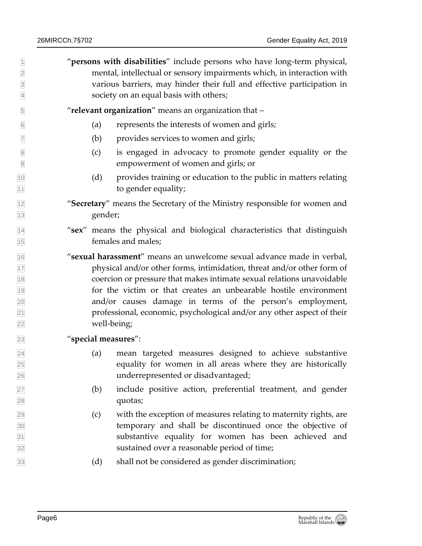"**persons with disabilities**" include persons who have long-term physical, mental, intellectual or sensory impairments which, in interaction with various barriers, may hinder their full and effective participation in society on an equal basis with others;

"**relevant organization**" means an organization that –

- (a) represents the interests of women and girls;
- (b) provides services to women and girls;
- (c) is engaged in advocacy to promote gender equality or the empowerment of women and girls; or
- (d) provides training or education to the public in matters relating **to gender equality;**
- "**Secretary**" means the Secretary of the Ministry responsible for women and gender;
- "**sex**" means the physical and biological characteristics that distinguish females and males;
- "**sexual harassment**" means an unwelcome sexual advance made in verbal, physical and/or other forms, intimidation, threat and/or other form of coercion or pressure that makes intimate sexual relations unavoidable for the victim or that creates an unbearable hostile environment and/or causes damage in terms of the person's employment, professional, economic, psychological and/or any other aspect of their well-being;

#### "**special measures**":

- (a) mean targeted measures designed to achieve substantive equality for women in all areas where they are historically underrepresented or disadvantaged;
- (b) include positive action, preferential treatment, and gender quotas;
- $\sqrt{29}$  (c) with the exception of measures relating to maternity rights, are temporary and shall be discontinued once the objective of substantive equality for women has been achieved and sustained over a reasonable period of time;
- (d) shall not be considered as gender discrimination;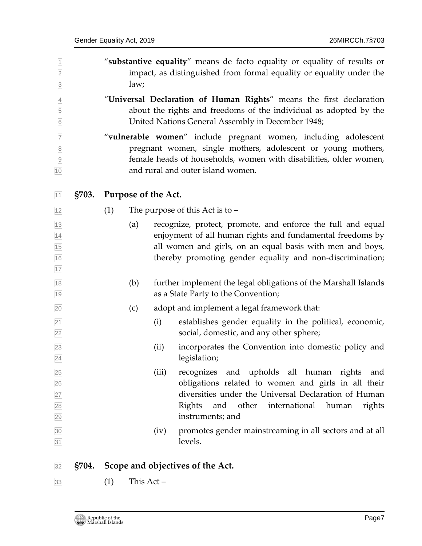<span id="page-6-0"></span>

| $\overline{1}$<br>$\overline{2}$<br>$\overline{3}$       |              |     | law;                |       | "substantive equality" means de facto equality or equality of results or<br>impact, as distinguished from formal equality or equality under the                                                                                                    |
|----------------------------------------------------------|--------------|-----|---------------------|-------|----------------------------------------------------------------------------------------------------------------------------------------------------------------------------------------------------------------------------------------------------|
| $\overline{4}$<br>5<br>$6\overline{6}$                   |              |     |                     |       | "Universal Declaration of Human Rights" means the first declaration<br>about the rights and freedoms of the individual as adopted by the<br>United Nations General Assembly in December 1948;                                                      |
| $\overline{7}$<br>$\overline{8}$<br>$\overline{9}$<br>10 |              |     |                     |       | "vulnerable women" include pregnant women, including adolescent<br>pregnant women, single mothers, adolescent or young mothers,<br>female heads of households, women with disabilities, older women,<br>and rural and outer island women.          |
| 11                                                       | <b>§703.</b> |     | Purpose of the Act. |       |                                                                                                                                                                                                                                                    |
| 12                                                       |              | (1) |                     |       | The purpose of this Act is to -                                                                                                                                                                                                                    |
| 13<br>$\overline{14}$<br>15<br>16<br>17                  |              |     | (a)                 |       | recognize, protect, promote, and enforce the full and equal<br>enjoyment of all human rights and fundamental freedoms by<br>all women and girls, on an equal basis with men and boys,<br>thereby promoting gender equality and non-discrimination; |
| 18<br>19                                                 |              |     | (b)                 |       | further implement the legal obligations of the Marshall Islands<br>as a State Party to the Convention;                                                                                                                                             |
| 20                                                       |              |     | (c)                 |       | adopt and implement a legal framework that:                                                                                                                                                                                                        |
| $\overline{21}$<br>$\overline{22}$                       |              |     |                     | (i)   | establishes gender equality in the political, economic,<br>social, domestic, and any other sphere;                                                                                                                                                 |
| 23<br>24                                                 |              |     |                     | (ii)  | incorporates the Convention into domestic policy and<br>legislation;                                                                                                                                                                               |
| 25<br>26<br>27<br>28<br>29                               |              |     |                     | (iii) | recognizes and upholds all human rights<br>and<br>obligations related to women and girls in all their<br>diversities under the Universal Declaration of Human<br>international human<br>Rights<br>and<br>other<br>rights<br>instruments; and       |
| 30<br>31                                                 |              |     |                     | (iv)  | promotes gender mainstreaming in all sectors and at all<br>levels.                                                                                                                                                                                 |
| 32                                                       | <b>§704.</b> |     |                     |       | Scope and objectives of the Act.                                                                                                                                                                                                                   |

- <span id="page-6-1"></span>
- (1) This Act –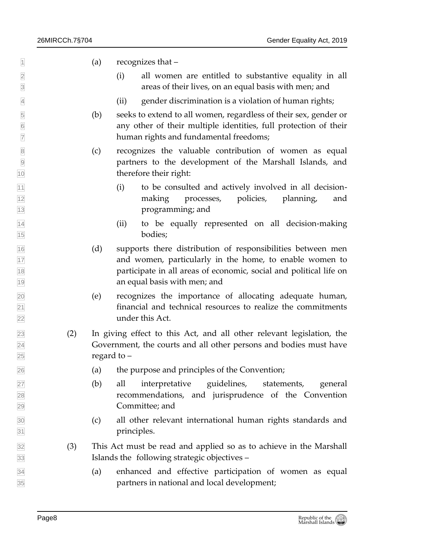- $\Box$  (a) recognizes that –
- (i) all women are entitled to substantive equality in all areas of their lives, on an equal basis with men; and
- (ii) gender discrimination is a violation of human rights;
- (b) seeks to extend to all women, regardless of their sex, gender or any other of their multiple identities, full protection of their human rights and fundamental freedoms;
- (c) recognizes the valuable contribution of women as equal partners to the development of the Marshall Islands, and therefore their right:
- (i) to be consulted and actively involved in all decision- making processes, policies, planning, and programming; and
- (ii) to be equally represented on all decision-making bodies;
- (d) supports there distribution of responsibilities between men and women, particularly in the home, to enable women to participate in all areas of economic, social and political life on an equal basis with men; and
- (e) recognizes the importance of allocating adequate human, financial and technical resources to realize the commitments under this Act.
- (2) In giving effect to this Act, and all other relevant legislation, the Government, the courts and all other persons and bodies must have regard to –
- (a) the purpose and principles of the Convention;
- (b) all interpretative guidelines, statements, general recommendations, and jurisprudence of the Convention Committee; and
- (c) all other relevant international human rights standards and **principles.**
- (3) This Act must be read and applied so as to achieve in the Marshall Islands the following strategic objectives –
- (a) enhanced and effective participation of women as equal partners in national and local development;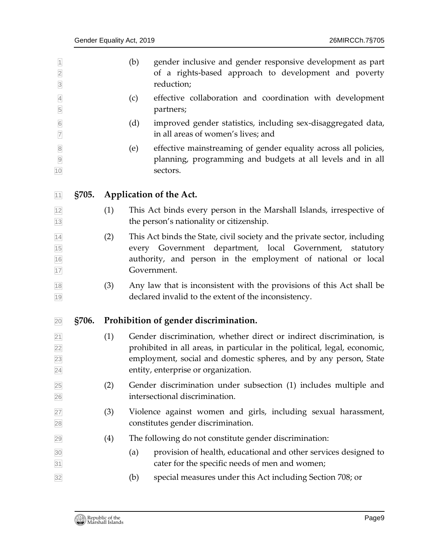<span id="page-8-1"></span><span id="page-8-0"></span>

| $\overline{1}$<br>$\overline{2}$<br>$\overline{\mathbf{3}}$ |              |     | (b) | gender inclusive and gender responsive development as part<br>of a rights-based approach to development and poverty<br>reduction;                                                                                                                             |
|-------------------------------------------------------------|--------------|-----|-----|---------------------------------------------------------------------------------------------------------------------------------------------------------------------------------------------------------------------------------------------------------------|
| $\overline{4}$<br>5                                         |              |     | (c) | effective collaboration and coordination with development<br>partners;                                                                                                                                                                                        |
| $\overline{6}$<br>$\overline{7}$                            |              |     | (d) | improved gender statistics, including sex-disaggregated data,<br>in all areas of women's lives; and                                                                                                                                                           |
| $\boldsymbol{8}$<br>$\overline{9}$<br>10                    |              |     | (e) | effective mainstreaming of gender equality across all policies,<br>planning, programming and budgets at all levels and in all<br>sectors.                                                                                                                     |
| 11                                                          | <b>§705.</b> |     |     | Application of the Act.                                                                                                                                                                                                                                       |
| 12<br>13                                                    |              | (1) |     | This Act binds every person in the Marshall Islands, irrespective of<br>the person's nationality or citizenship.                                                                                                                                              |
| 14<br>15<br>16<br>17                                        |              | (2) |     | This Act binds the State, civil society and the private sector, including<br>every Government department, local Government,<br>statutory<br>authority, and person in the employment of national or local<br>Government.                                       |
| $18$<br>19                                                  |              | (3) |     | Any law that is inconsistent with the provisions of this Act shall be<br>declared invalid to the extent of the inconsistency.                                                                                                                                 |
| 20                                                          | <b>§706.</b> |     |     | Prohibition of gender discrimination.                                                                                                                                                                                                                         |
| 21 <br> 22 <br>23<br>24                                     |              | (1) |     | Gender discrimination, whether direct or indirect discrimination, is<br>prohibited in all areas, in particular in the political, legal, economic,<br>employment, social and domestic spheres, and by any person, State<br>entity, enterprise or organization. |
| 25<br>26                                                    |              | (2) |     | Gender discrimination under subsection (1) includes multiple and<br>intersectional discrimination.                                                                                                                                                            |
| 27<br>28                                                    |              | (3) |     | Violence against women and girls, including sexual harassment,<br>constitutes gender discrimination.                                                                                                                                                          |
| 29                                                          |              | (4) |     | The following do not constitute gender discrimination:                                                                                                                                                                                                        |
| 30<br>31                                                    |              |     | (a) | provision of health, educational and other services designed to<br>cater for the specific needs of men and women;                                                                                                                                             |
| 32                                                          |              |     | (b) | special measures under this Act including Section 708; or                                                                                                                                                                                                     |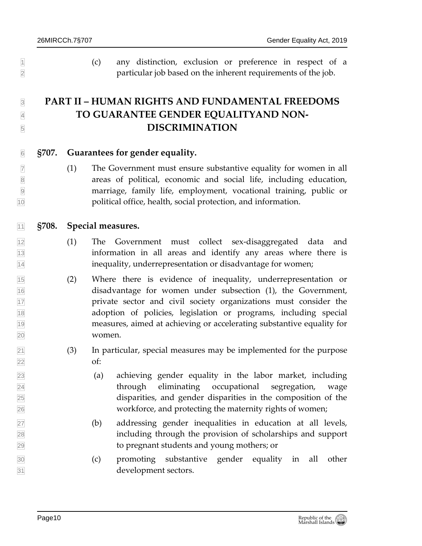(c) any distinction, exclusion or preference in respect of a particular job based on the inherent requirements of the job.

## <span id="page-9-0"></span> **PART II – HUMAN RIGHTS AND FUNDAMENTAL FREEDOMS TO GUARANTEE GENDER EQUALITYAND NON-DISCRIMINATION**

- <span id="page-9-1"></span>**§707. Guarantees for gender equality.**
- $\mathbb{Z}$  (1) The Government must ensure substantive equality for women in all areas of political, economic and social life, including education, marriage, family life, employment, vocational training, public or political office, health, social protection, and information.

#### <span id="page-9-2"></span>**§708. Special measures.**

- (1) The Government must collect sex-disaggregated data and information in all areas and identify any areas where there is inequality, underrepresentation or disadvantage for women;
- (2) Where there is evidence of inequality, underrepresentation or disadvantage for women under subsection (1), the Government, private sector and civil society organizations must consider the adoption of policies, legislation or programs, including special measures, aimed at achieving or accelerating substantive equality for women.
- $\boxed{21}$  (3) In particular, special measures may be implemented for the purpose of:
- (a) achieving gender equality in the labor market, including through eliminating occupational segregation, wage disparities, and gender disparities in the composition of the workforce, and protecting the maternity rights of women;
- (b) addressing gender inequalities in education at all levels, including through the provision of scholarships and support to pregnant students and young mothers; or
- (c) promoting substantive gender equality in all other development sectors.

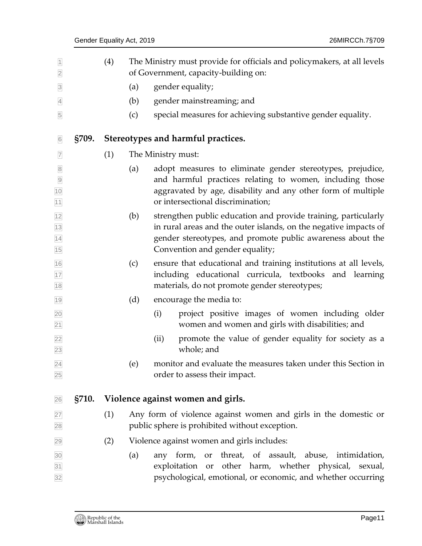<span id="page-10-1"></span><span id="page-10-0"></span>

| $\overline{1}$<br>$\overline{2}$                          |       | (4) |     | The Ministry must provide for officials and policymakers, at all levels<br>of Government, capacity-building on:                                                                                                                     |
|-----------------------------------------------------------|-------|-----|-----|-------------------------------------------------------------------------------------------------------------------------------------------------------------------------------------------------------------------------------------|
| $\overline{\mathbf{3}}$                                   |       |     | (a) | gender equality;                                                                                                                                                                                                                    |
| $\overline{4}$                                            |       |     | (b) | gender mainstreaming; and                                                                                                                                                                                                           |
| 5                                                         |       |     | (c) | special measures for achieving substantive gender equality.                                                                                                                                                                         |
| 6                                                         | §709. |     |     | Stereotypes and harmful practices.                                                                                                                                                                                                  |
| $\overline{7}$                                            |       | (1) |     | The Ministry must:                                                                                                                                                                                                                  |
| $\overline{8}$<br>$\overline{9}$<br>10<br>$\overline{11}$ |       |     | (a) | adopt measures to eliminate gender stereotypes, prejudice,<br>and harmful practices relating to women, including those<br>aggravated by age, disability and any other form of multiple<br>or intersectional discrimination;         |
| $\frac{12}{13}$<br>$\frac{14}{15}$                        |       |     | (b) | strengthen public education and provide training, particularly<br>in rural areas and the outer islands, on the negative impacts of<br>gender stereotypes, and promote public awareness about the<br>Convention and gender equality; |
| 16<br>17<br>18                                            |       |     | (c) | ensure that educational and training institutions at all levels,<br>including educational curricula, textbooks<br>and learning<br>materials, do not promote gender stereotypes;                                                     |
| 19                                                        |       |     | (d) | encourage the media to:                                                                                                                                                                                                             |
|                                                           |       |     |     | project positive images of women including older<br>(i)<br>women and women and girls with disabilities; and                                                                                                                         |
| 20<br>21<br>22<br>23                                      |       |     |     | promote the value of gender equality for society as a<br>(ii)<br>whole; and                                                                                                                                                         |
| $\overline{24}$<br>25                                     |       |     | (e) | monitor and evaluate the measures taken under this Section in<br>order to assess their impact.                                                                                                                                      |
| 26                                                        | §710. |     |     | Violence against women and girls.                                                                                                                                                                                                   |
| 27<br>28                                                  |       | (1) |     | Any form of violence against women and girls in the domestic or<br>public sphere is prohibited without exception.                                                                                                                   |
| 29                                                        |       | (2) |     | Violence against women and girls includes:                                                                                                                                                                                          |
| 30<br>31<br>32                                            |       |     | (a) | or threat, of assault, abuse, intimidation,<br>any form,<br>exploitation or other harm, whether physical, sexual,<br>psychological, emotional, or economic, and whether occurring                                                   |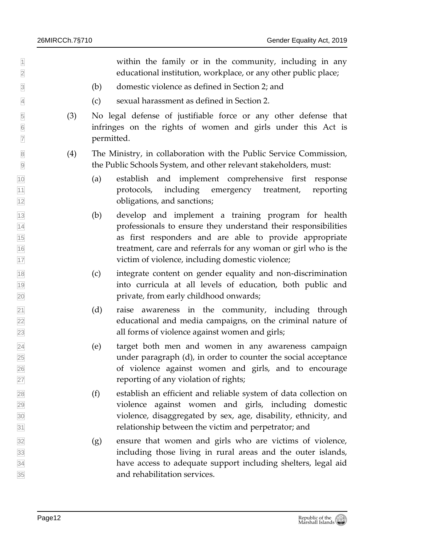$\parallel$ educational institution, workplace, or any other public place;

- (b) domestic violence as defined in Section 2; and
- (c) sexual harassment as defined in Section 2.
- (3) No legal defense of justifiable force or any other defense that infringes on the rights of women and girls under this Act is permitted.
- (4) The Ministry, in collaboration with the Public Service Commission, the Public Schools System, and other relevant stakeholders, must:
- (a) establish and implement comprehensive first response protocols, including emergency treatment, reporting obligations, and sanctions;
- (b) develop and implement a training program for health professionals to ensure they understand their responsibilities as first responders and are able to provide appropriate treatment, care and referrals for any woman or girl who is the victim of violence, including domestic violence;
- (c) integrate content on gender equality and non-discrimination into curricula at all levels of education, both public and private, from early childhood onwards;
- $\boxed{21}$  (d) raise awareness in the community, including through educational and media campaigns, on the criminal nature of all forms of violence against women and girls;
- (e) target both men and women in any awareness campaign under paragraph (d), in order to counter the social acceptance of violence against women and girls, and to encourage reporting of any violation of rights;
- $\boxed{28}$  (f) establish an efficient and reliable system of data collection on violence against women and girls, including domestic violence, disaggregated by sex, age, disability, ethnicity, and relationship between the victim and perpetrator; and
- (g) ensure that women and girls who are victims of violence, including those living in rural areas and the outer islands, have access to adequate support including shelters, legal aid and rehabilitation services.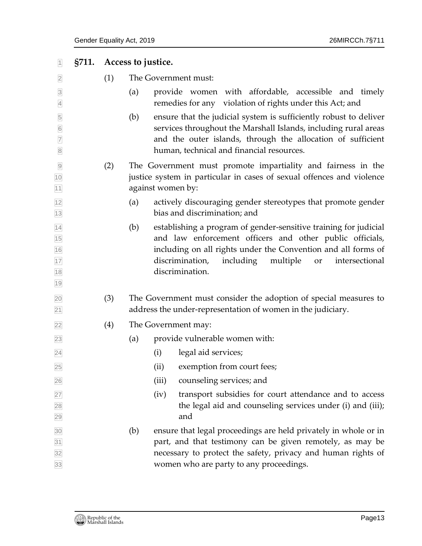<span id="page-12-0"></span>

| 1                                                                     | §711. | Access to justice. |     |                   |                                                                                                                                                                                                                                                                                      |
|-----------------------------------------------------------------------|-------|--------------------|-----|-------------------|--------------------------------------------------------------------------------------------------------------------------------------------------------------------------------------------------------------------------------------------------------------------------------------|
| $\overline{2}$                                                        |       | (1)                |     |                   | The Government must:                                                                                                                                                                                                                                                                 |
| $\overline{3}$<br>$\overline{4}$                                      |       |                    | (a) |                   | provide women with affordable, accessible and timely<br>remedies for any violation of rights under this Act; and                                                                                                                                                                     |
| $\overline{5}$<br>$6\overline{6}$<br>$\overline{7}$<br>$\overline{8}$ |       |                    | (b) |                   | ensure that the judicial system is sufficiently robust to deliver<br>services throughout the Marshall Islands, including rural areas<br>and the outer islands, through the allocation of sufficient<br>human, technical and financial resources.                                     |
| $\overline{9}$<br>10<br>11                                            |       | (2)                |     | against women by: | The Government must promote impartiality and fairness in the<br>justice system in particular in cases of sexual offences and violence                                                                                                                                                |
| 12<br>13                                                              |       |                    | (a) |                   | actively discouraging gender stereotypes that promote gender<br>bias and discrimination; and                                                                                                                                                                                         |
| 14<br>15<br>16<br>17<br>18<br>19                                      |       |                    | (b) |                   | establishing a program of gender-sensitive training for judicial<br>and law enforcement officers and other public officials,<br>including on all rights under the Convention and all forms of<br>discrimination,<br>including<br>multiple<br>intersectional<br>or<br>discrimination. |
| $\overline{20}$<br>$\overline{21}$                                    |       | (3)                |     |                   | The Government must consider the adoption of special measures to<br>address the under-representation of women in the judiciary.                                                                                                                                                      |
| $\overline{22}$                                                       |       | (4)                |     |                   | The Government may:                                                                                                                                                                                                                                                                  |
| 23                                                                    |       |                    | (a) |                   | provide vulnerable women with:                                                                                                                                                                                                                                                       |
| $\overline{24}$                                                       |       |                    |     | (i)               | legal aid services;                                                                                                                                                                                                                                                                  |
| 25                                                                    |       |                    |     |                   | (ii) exemption from court fees;                                                                                                                                                                                                                                                      |
| 26                                                                    |       |                    |     | (iii)             | counseling services; and                                                                                                                                                                                                                                                             |
| 27<br>28<br>29                                                        |       |                    |     | (iv)              | transport subsidies for court attendance and to access<br>the legal aid and counseling services under (i) and (iii);<br>and                                                                                                                                                          |
| 30<br>$\overline{31}$<br>32<br>33                                     |       |                    | (b) |                   | ensure that legal proceedings are held privately in whole or in<br>part, and that testimony can be given remotely, as may be<br>necessary to protect the safety, privacy and human rights of<br>women who are party to any proceedings.                                              |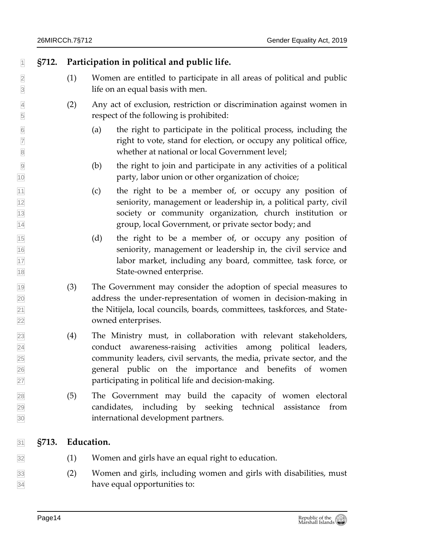#### **§712. Participation in political and public life.**

- <span id="page-13-0"></span> (1) Women are entitled to participate in all areas of political and public life on an equal basis with men.
- (2) Any act of exclusion, restriction or discrimination against women in respect of the following is prohibited:
- (a) the right to participate in the political process, including the right to vote, stand for election, or occupy any political office, 8 8 whether at national or local Government level;
- (b) the right to join and participate in any activities of a political **party**, labor union or other organization of choice;
- $\begin{array}{cc} \hline \hline \end{array}$  (c) the right to be a member of, or occupy any position of seniority, management or leadership in, a political party, civil society or community organization, church institution or group, local Government, or private sector body; and
- (d) the right to be a member of, or occupy any position of seniority, management or leadership in, the civil service and labor market, including any board, committee, task force, or State-owned enterprise.
- (3) The Government may consider the adoption of special measures to address the under-representation of women in decision-making in the Nitijela, local councils, boards, committees, taskforces, and State-owned enterprises.
- (4) The Ministry must, in collaboration with relevant stakeholders, conduct awareness-raising activities among political leaders, community leaders, civil servants, the media, private sector, and the general public on the importance and benefits of women participating in political life and decision-making.
- (5) The Government may build the capacity of women electoral candidates, including by seeking technical assistance from international development partners.

#### <span id="page-13-1"></span>**§713. Education.**

- (1) Women and girls have an equal right to education.
- (2) Women and girls, including women and girls with disabilities, must have equal opportunities to: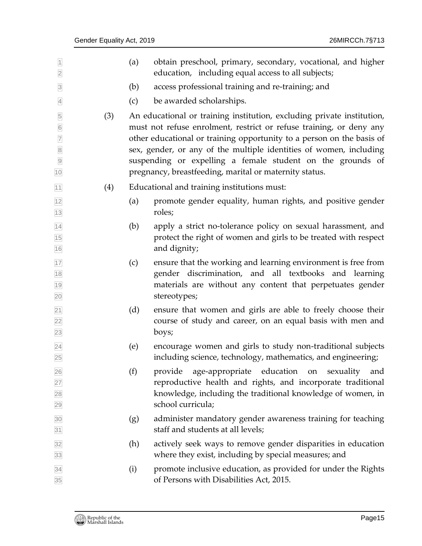| $\overline{1}$<br>$\overline{2}$                                                              |     | (a) | obtain preschool, primary, secondary, vocational, and higher<br>education, including equal access to all subjects;                                                                                                                                                                                                                                                                                                   |
|-----------------------------------------------------------------------------------------------|-----|-----|----------------------------------------------------------------------------------------------------------------------------------------------------------------------------------------------------------------------------------------------------------------------------------------------------------------------------------------------------------------------------------------------------------------------|
| $\overline{\mathbf{3}}$                                                                       |     | (b) | access professional training and re-training; and                                                                                                                                                                                                                                                                                                                                                                    |
| $\overline{4}$                                                                                |     | (c) | be awarded scholarships.                                                                                                                                                                                                                                                                                                                                                                                             |
| $\overline{5}$<br>$6\overline{6}$<br>$\overline{7}$<br>$\overline{8}$<br>$\overline{9}$<br>10 | (3) |     | An educational or training institution, excluding private institution,<br>must not refuse enrolment, restrict or refuse training, or deny any<br>other educational or training opportunity to a person on the basis of<br>sex, gender, or any of the multiple identities of women, including<br>suspending or expelling a female student on the grounds of<br>pregnancy, breastfeeding, marital or maternity status. |
| 11                                                                                            | (4) |     | Educational and training institutions must:                                                                                                                                                                                                                                                                                                                                                                          |
| $\frac{12}{13}$                                                                               |     | (a) | promote gender equality, human rights, and positive gender<br>roles;                                                                                                                                                                                                                                                                                                                                                 |
| $\frac{14}{15}$<br>$\frac{16}{16}$                                                            |     | (b) | apply a strict no-tolerance policy on sexual harassment, and<br>protect the right of women and girls to be treated with respect<br>and dignity;                                                                                                                                                                                                                                                                      |
| 17<br>18<br>19<br>20                                                                          |     | (c) | ensure that the working and learning environment is free from<br>gender discrimination, and all textbooks and learning<br>materials are without any content that perpetuates gender<br>stereotypes;                                                                                                                                                                                                                  |
| $\begin{array}{ c c c }\n\hline\n21 & 22 \\ 23 & 24 \\ 25 & \hline\n\end{array}$              |     | (d) | ensure that women and girls are able to freely choose their<br>course of study and career, on an equal basis with men and<br>boys;                                                                                                                                                                                                                                                                                   |
|                                                                                               |     | (e) | encourage women and girls to study non-traditional subjects<br>including science, technology, mathematics, and engineering;                                                                                                                                                                                                                                                                                          |
| 26<br>27<br>28<br>29                                                                          |     | (f) | age-appropriate education<br>provide<br>sexuality<br>on<br>and<br>reproductive health and rights, and incorporate traditional<br>knowledge, including the traditional knowledge of women, in<br>school curricula;                                                                                                                                                                                                    |
| $\frac{30}{31}$                                                                               |     | (g) | administer mandatory gender awareness training for teaching<br>staff and students at all levels;                                                                                                                                                                                                                                                                                                                     |
| 32<br>33                                                                                      |     | (h) | actively seek ways to remove gender disparities in education<br>where they exist, including by special measures; and                                                                                                                                                                                                                                                                                                 |
| $\frac{34}{35}$                                                                               |     | (i) | promote inclusive education, as provided for under the Rights<br>of Persons with Disabilities Act, 2015.                                                                                                                                                                                                                                                                                                             |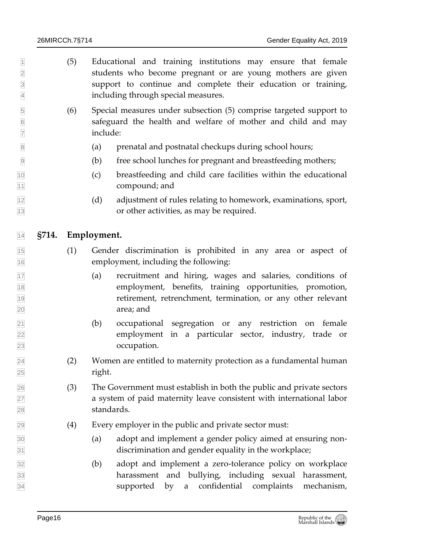<span id="page-15-0"></span> $\mathbb{I}$  (5) Educational and training institutions may ensure that female students who become pregnant or are young mothers are given support to continue and complete their education or training, including through special measures. (6) Special measures under subsection (5) comprise targeted support to safeguard the health and welfare of mother and child and may include: (a) prenatal and postnatal checkups during school hours; (b) free school lunches for pregnant and breastfeeding mothers; (c) breastfeeding and child care facilities within the educational 11 compound; and (d) adjustment of rules relating to homework, examinations, sport, or other activities, as may be required. **§714. Employment.** (1) Gender discrimination is prohibited in any area or aspect of employment, including the following: (a) recruitment and hiring, wages and salaries, conditions of employment, benefits, training opportunities, promotion, retirement, retrenchment, termination, or any other relevant area; and (b) occupational segregation or any restriction on female employment in a particular sector, industry, trade or occupation. (2) Women are entitled to maternity protection as a fundamental human right. (3) The Government must establish in both the public and private sectors a system of paid maternity leave consistent with international labor standards. (4) Every employer in the public and private sector must: (a) adopt and implement a gender policy aimed at ensuring non- discrimination and gender equality in the workplace; (b) adopt and implement a zero-tolerance policy on workplace harassment and bullying, including sexual harassment, supported by a confidential complaints mechanism,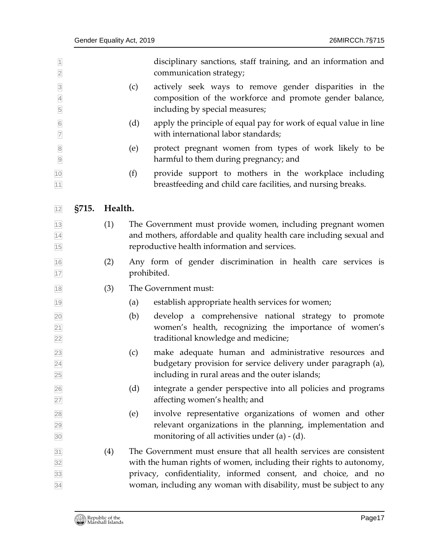<span id="page-16-0"></span>

| $\overline{1}$<br>$\overline{2}$      |       |         |     | disciplinary sanctions, staff training, and an information and<br>communication strategy;                                                                                                                                                                                         |
|---------------------------------------|-------|---------|-----|-----------------------------------------------------------------------------------------------------------------------------------------------------------------------------------------------------------------------------------------------------------------------------------|
| $\overline{3}$<br>$\overline{4}$<br>5 |       |         | (c) | actively seek ways to remove gender disparities in the<br>composition of the workforce and promote gender balance,<br>including by special measures;                                                                                                                              |
| $\overline{6}$<br>$\overline{7}$      |       |         | (d) | apply the principle of equal pay for work of equal value in line<br>with international labor standards;                                                                                                                                                                           |
| $\bf 8$<br>$\boxed{9}$                |       |         | (e) | protect pregnant women from types of work likely to be<br>harmful to them during pregnancy; and                                                                                                                                                                                   |
| 10<br>11                              |       |         | (f) | provide support to mothers in the workplace including<br>breastfeeding and child care facilities, and nursing breaks.                                                                                                                                                             |
| 12                                    | §715. | Health. |     |                                                                                                                                                                                                                                                                                   |
| 13<br>14<br>15                        |       | (1)     |     | The Government must provide women, including pregnant women<br>and mothers, affordable and quality health care including sexual and<br>reproductive health information and services.                                                                                              |
| 16<br>17                              |       | (2)     |     | Any form of gender discrimination in health care services is<br>prohibited.                                                                                                                                                                                                       |
| 18                                    |       | (3)     |     | The Government must:                                                                                                                                                                                                                                                              |
| 19                                    |       |         | (a) | establish appropriate health services for women;                                                                                                                                                                                                                                  |
| 20<br>$\overline{21}$<br>22           |       |         | (b) | develop a comprehensive national strategy to promote<br>women's health, recognizing the importance of women's<br>traditional knowledge and medicine;                                                                                                                              |
| 23<br>24<br>25                        |       |         | (c) | make adequate human and administrative resources and<br>budgetary provision for service delivery under paragraph (a),<br>including in rural areas and the outer islands;                                                                                                          |
| 26<br>27                              |       |         | (d) | integrate a gender perspective into all policies and programs<br>affecting women's health; and                                                                                                                                                                                    |
| 28<br>29<br>30                        |       |         | (e) | involve representative organizations of women and other<br>relevant organizations in the planning, implementation and<br>monitoring of all activities under $(a) - (d)$ .                                                                                                         |
| 31<br>32<br>33<br>34                  |       | (4)     |     | The Government must ensure that all health services are consistent<br>with the human rights of women, including their rights to autonomy,<br>privacy, confidentiality, informed consent, and choice, and no<br>woman, including any woman with disability, must be subject to any |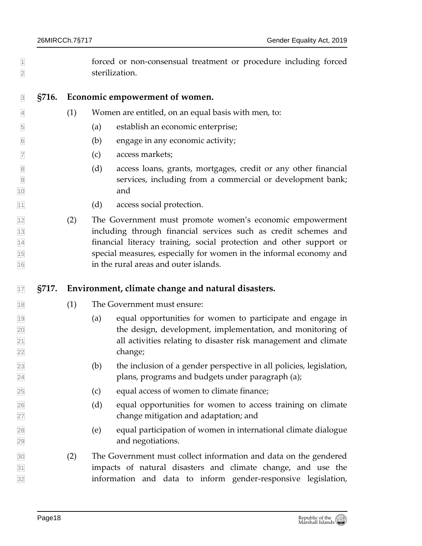- forced or non-consensual treatment or procedure including forced sterilization.
- <span id="page-17-0"></span>

#### **§716. Economic empowerment of women.**

- $\overline{4}$  (1) Women are entitled, on an equal basis with men, to:
- (a) establish an economic enterprise;
- (b) engage in any economic activity;
- (c) access markets;
- 8 (d) access loans, grants, mortgages, credit or any other financial services, including from a commercial or development bank; and
- (d) access social protection.
- (2) The Government must promote women's economic empowerment including through financial services such as credit schemes and financial literacy training, social protection and other support or special measures, especially for women in the informal economy and in the rural areas and outer islands.

#### <span id="page-17-1"></span>**§717. Environment, climate change and natural disasters.**

- (1) The Government must ensure:
- (a) equal opportunities for women to participate and engage in the design, development, implementation, and monitoring of all activities relating to disaster risk management and climate change;
- (b) the inclusion of a gender perspective in all policies, legislation, plans, programs and budgets under paragraph (a);
- (c) equal access of women to climate finance;
- (d) equal opportunities for women to access training on climate change mitigation and adaptation; and
- (e) equal participation of women in international climate dialogue and negotiations.
- (2) The Government must collect information and data on the gendered impacts of natural disasters and climate change, and use the information and data to inform gender-responsive legislation,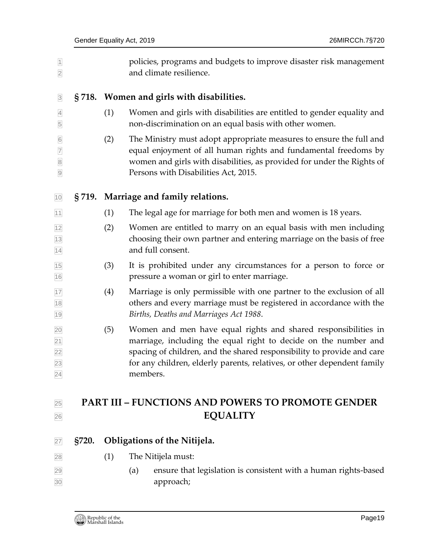<span id="page-18-1"></span><span id="page-18-0"></span>

| $\boxed{1}$<br>$\overline{2}$                               |     | policies, programs and budgets to improve disaster risk management<br>and climate resilience.                                                                                                                                                                                                      |
|-------------------------------------------------------------|-----|----------------------------------------------------------------------------------------------------------------------------------------------------------------------------------------------------------------------------------------------------------------------------------------------------|
| $\overline{3}$                                              |     | §718. Women and girls with disabilities.                                                                                                                                                                                                                                                           |
| $\overline{4}$<br>5                                         | (1) | Women and girls with disabilities are entitled to gender equality and<br>non-discrimination on an equal basis with other women.                                                                                                                                                                    |
| $6\,$<br>$\overline{7}$<br>$\overline{8}$<br>$\overline{9}$ | (2) | The Ministry must adopt appropriate measures to ensure the full and<br>equal enjoyment of all human rights and fundamental freedoms by<br>women and girls with disabilities, as provided for under the Rights of<br>Persons with Disabilities Act, 2015.                                           |
| 10                                                          |     | §719. Marriage and family relations.                                                                                                                                                                                                                                                               |
| 11                                                          | (1) | The legal age for marriage for both men and women is 18 years.                                                                                                                                                                                                                                     |
| 12<br>13<br>14                                              | (2) | Women are entitled to marry on an equal basis with men including<br>choosing their own partner and entering marriage on the basis of free<br>and full consent.                                                                                                                                     |
| 15<br>16                                                    | (3) | It is prohibited under any circumstances for a person to force or<br>pressure a woman or girl to enter marriage.                                                                                                                                                                                   |
| 17<br>$18$<br>19                                            | (4) | Marriage is only permissible with one partner to the exclusion of all<br>others and every marriage must be registered in accordance with the<br>Births, Deaths and Marriages Act 1988.                                                                                                             |
| 20<br>$\frac{21}{22}$<br>23<br>24                           | (5) | Women and men have equal rights and shared responsibilities in<br>marriage, including the equal right to decide on the number and<br>spacing of children, and the shared responsibility to provide and care<br>for any children, elderly parents, relatives, or other dependent family<br>members. |
| 25                                                          |     | <b>PART III - FUNCTIONS AND POWERS TO PROMOTE GENDER</b>                                                                                                                                                                                                                                           |
| 26                                                          |     | <b>EQUALITY</b>                                                                                                                                                                                                                                                                                    |

- <span id="page-18-3"></span><span id="page-18-2"></span>**§720. Obligations of the Nitijela.**
- (1) The Nitijela must:
- (a) ensure that legislation is consistent with a human rights-based approach;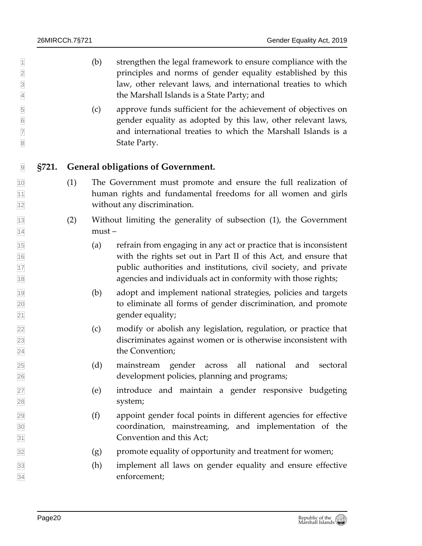- $\mathbb{I}$  (b) strengthen the legal framework to ensure compliance with the principles and norms of gender equality established by this law, other relevant laws, and international treaties to which the Marshall Islands is a State Party; and
- (c) approve funds sufficient for the achievement of objectives on gender equality as adopted by this law, other relevant laws, and international treaties to which the Marshall Islands is a 8 State Party.
- <span id="page-19-0"></span>**§721. General obligations of Government.**
- (1) The Government must promote and ensure the full realization of human rights and fundamental freedoms for all women and girls without any discrimination.
- (2) Without limiting the generality of subsection (1), the Government  $\sqrt{14}$  must –
- (a) refrain from engaging in any act or practice that is inconsistent with the rights set out in Part II of this Act, and ensure that public authorities and institutions, civil society, and private agencies and individuals act in conformity with those rights;
- (b) adopt and implement national strategies, policies and targets to eliminate all forms of gender discrimination, and promote 21 gender equality;
- (c) modify or abolish any legislation, regulation, or practice that discriminates against women or is otherwise inconsistent with the Convention;
- (d) mainstream gender across all national and sectoral development policies, planning and programs;
- (e) introduce and maintain a gender responsive budgeting system;
- (f) appoint gender focal points in different agencies for effective coordination, mainstreaming, and implementation of the Convention and this Act;
- $\overline{32}$  (g) promote equality of opportunity and treatment for women;
- (h) implement all laws on gender equality and ensure effective enforcement;

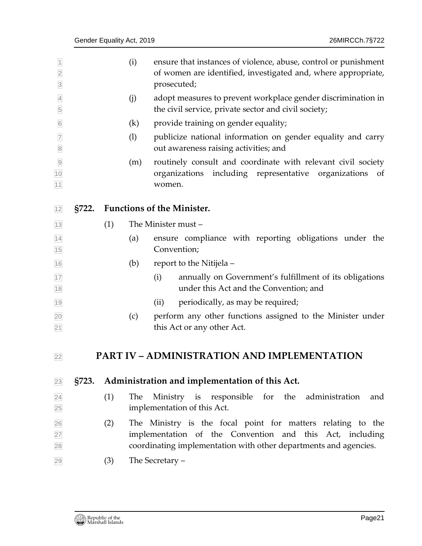<span id="page-20-2"></span><span id="page-20-1"></span><span id="page-20-0"></span>

| $\vert$ 1<br>$\overline{2}$<br>$\overline{3}$ |                                            |     | (i)                                                                                                                                                                                         | ensure that instances of violence, abuse, control or punishment<br>of women are identified, investigated and, where appropriate,<br>prosecuted; |  |  |  |
|-----------------------------------------------|--------------------------------------------|-----|---------------------------------------------------------------------------------------------------------------------------------------------------------------------------------------------|-------------------------------------------------------------------------------------------------------------------------------------------------|--|--|--|
| $\overline{4}$<br>5                           |                                            |     | (j)                                                                                                                                                                                         | adopt measures to prevent workplace gender discrimination in<br>the civil service, private sector and civil society;                            |  |  |  |
| $6\,$                                         |                                            |     | (k)                                                                                                                                                                                         | provide training on gender equality;                                                                                                            |  |  |  |
| $\overline{7}$<br>$\overline{8}$              | (1)                                        |     |                                                                                                                                                                                             | publicize national information on gender equality and carry<br>out awareness raising activities; and                                            |  |  |  |
| $\overline{9}$<br>10<br>11                    |                                            |     | (m)                                                                                                                                                                                         | routinely consult and coordinate with relevant civil society<br>including representative<br>organizations<br>organizations<br>of<br>women.      |  |  |  |
| 12                                            | <b>Functions of the Minister.</b><br>§722. |     |                                                                                                                                                                                             |                                                                                                                                                 |  |  |  |
| 13                                            | The Minister must -<br>(1)                 |     |                                                                                                                                                                                             |                                                                                                                                                 |  |  |  |
| $\overline{14}$<br>15                         |                                            |     | (a)                                                                                                                                                                                         | ensure compliance with reporting obligations under the<br>Convention;                                                                           |  |  |  |
| 16                                            |                                            |     | (b)                                                                                                                                                                                         | report to the Nitijela -                                                                                                                        |  |  |  |
| 17<br>18                                      |                                            |     |                                                                                                                                                                                             | annually on Government's fulfillment of its obligations<br>(i)<br>under this Act and the Convention; and                                        |  |  |  |
| 19                                            |                                            |     |                                                                                                                                                                                             | periodically, as may be required;<br>(ii)                                                                                                       |  |  |  |
| 20<br>21                                      |                                            |     | (c)                                                                                                                                                                                         | perform any other functions assigned to the Minister under<br>this Act or any other Act.                                                        |  |  |  |
| 22                                            |                                            |     |                                                                                                                                                                                             | <b>PART IV - ADMINISTRATION AND IMPLEMENTATION</b>                                                                                              |  |  |  |
| 23                                            | S723.                                      |     |                                                                                                                                                                                             | Administration and implementation of this Act.                                                                                                  |  |  |  |
| $\overline{24}$<br>25                         |                                            | (1) | The                                                                                                                                                                                         | responsible<br>for<br>the<br>Ministry is<br>administration<br>and<br>implementation of this Act.                                                |  |  |  |
| $\frac{26}{27}$<br>28                         |                                            | (2) | The Ministry is the focal point for matters relating to the<br>implementation of the Convention and this Act, including<br>coordinating implementation with other departments and agencies. |                                                                                                                                                 |  |  |  |
| 29                                            |                                            | (3) | The Secretary -                                                                                                                                                                             |                                                                                                                                                 |  |  |  |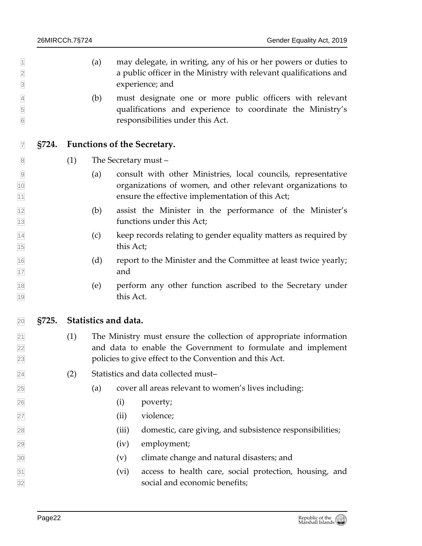<span id="page-21-1"></span><span id="page-21-0"></span>

| $\overline{1}$<br>$\overline{2}$<br>$\overline{3}$ |       |     | (a)                  |           | may delegate, in writing, any of his or her powers or duties to<br>a public officer in the Ministry with relevant qualifications and<br>experience; and                                       |  |
|----------------------------------------------------|-------|-----|----------------------|-----------|-----------------------------------------------------------------------------------------------------------------------------------------------------------------------------------------------|--|
| $\overline{4}$<br>$\overline{5}$<br>$\overline{6}$ |       |     | (b)                  |           | must designate one or more public officers with relevant<br>qualifications and experience to coordinate the Ministry's<br>responsibilities under this Act.                                    |  |
| $\overline{7}$                                     | S724. |     |                      |           | <b>Functions of the Secretary.</b>                                                                                                                                                            |  |
| $\overline{8}$                                     |       | (1) | The Secretary must - |           |                                                                                                                                                                                               |  |
| $\overline{9}$<br>10<br>$\overline{11}$            |       |     | (a)                  |           | consult with other Ministries, local councils, representative<br>organizations of women, and other relevant organizations to<br>ensure the effective implementation of this Act;              |  |
| $\frac{12}{13}$                                    |       |     | (b)                  |           | assist the Minister in the performance of the Minister's<br>functions under this Act;                                                                                                         |  |
| $\frac{14}{15}$                                    |       |     | (c)                  | this Act; | keep records relating to gender equality matters as required by                                                                                                                               |  |
| $\frac{16}{17}$                                    |       |     | (d)                  | and       | report to the Minister and the Committee at least twice yearly;                                                                                                                               |  |
| $\frac{18}{19}$                                    |       |     | (e)                  | this Act. | perform any other function ascribed to the Secretary under                                                                                                                                    |  |
| $\overline{20}$                                    | §725. |     | Statistics and data. |           |                                                                                                                                                                                               |  |
| $\frac{21}{22}$<br>$\frac{23}{23}$                 |       | (1) |                      |           | The Ministry must ensure the collection of appropriate information<br>and data to enable the Government to formulate and implement<br>policies to give effect to the Convention and this Act. |  |
| $\overline{24}$                                    |       | (2) |                      |           | Statistics and data collected must-                                                                                                                                                           |  |
| $\overline{25}$                                    |       |     | (a)                  |           | cover all areas relevant to women's lives including:                                                                                                                                          |  |
| $\overline{26}$                                    |       |     |                      | (i)       | poverty;                                                                                                                                                                                      |  |
| $\overline{27}$                                    |       |     |                      | (ii)      | violence;                                                                                                                                                                                     |  |
| 28                                                 |       |     |                      | (iii)     | domestic, care giving, and subsistence responsibilities;                                                                                                                                      |  |
| 29                                                 |       |     |                      | (iv)      | employment;                                                                                                                                                                                   |  |
| $\overline{30}$                                    |       |     |                      | (v)       | climate change and natural disasters; and                                                                                                                                                     |  |
| $\frac{31}{32}$                                    |       |     |                      | (vi)      | access to health care, social protection, housing, and<br>social and economic benefits;                                                                                                       |  |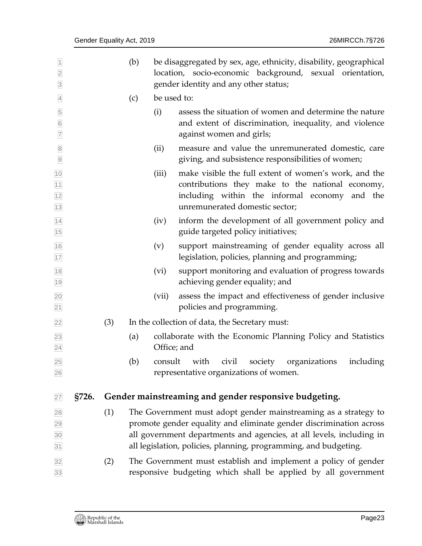<span id="page-22-0"></span>

| $\overline{1}$<br>$\overline{2}$<br>$\overline{3}$ |       |     | (b) |             | be disaggregated by sex, age, ethnicity, disability, geographical<br>location, socio-economic background, sexual orientation,<br>gender identity and any other status;                                                                                                            |
|----------------------------------------------------|-------|-----|-----|-------------|-----------------------------------------------------------------------------------------------------------------------------------------------------------------------------------------------------------------------------------------------------------------------------------|
| $\overline{4}$                                     |       |     | (c) | be used to: |                                                                                                                                                                                                                                                                                   |
| $\overline{5}$<br>$\overline{6}$<br>$\overline{7}$ |       |     |     | (i)         | assess the situation of women and determine the nature<br>and extent of discrimination, inequality, and violence<br>against women and girls;                                                                                                                                      |
| $\bf 8$<br>$\overline{9}$                          |       |     |     | (ii)        | measure and value the unremunerated domestic, care<br>giving, and subsistence responsibilities of women;                                                                                                                                                                          |
| 10<br>$11$<br>12<br>13                             |       |     |     | (iii)       | make visible the full extent of women's work, and the<br>contributions they make to the national economy,<br>including within the informal economy and the<br>unremunerated domestic sector;                                                                                      |
| 14<br>15                                           |       |     |     | (iv)        | inform the development of all government policy and<br>guide targeted policy initiatives;                                                                                                                                                                                         |
| 16<br>17                                           |       |     |     | (v)         | support mainstreaming of gender equality across all<br>legislation, policies, planning and programming;                                                                                                                                                                           |
| 18<br>19                                           |       |     |     | (vi)        | support monitoring and evaluation of progress towards<br>achieving gender equality; and                                                                                                                                                                                           |
| 20<br>21                                           |       |     |     | (vii)       | assess the impact and effectiveness of gender inclusive<br>policies and programming.                                                                                                                                                                                              |
| 22                                                 |       | (3) |     |             | In the collection of data, the Secretary must:                                                                                                                                                                                                                                    |
| 23<br>24                                           |       |     | (a) | Office; and | collaborate with the Economic Planning Policy and Statistics                                                                                                                                                                                                                      |
| 25<br>26                                           |       |     | (b) | consult     | with<br>including<br>civil<br>society<br>organizations<br>representative organizations of women.                                                                                                                                                                                  |
| 27                                                 | §726. |     |     |             | Gender mainstreaming and gender responsive budgeting.                                                                                                                                                                                                                             |
| 28<br>29<br>30<br>31                               |       | (1) |     |             | The Government must adopt gender mainstreaming as a strategy to<br>promote gender equality and eliminate gender discrimination across<br>all government departments and agencies, at all levels, including in<br>all legislation, policies, planning, programming, and budgeting. |
| 32<br>33                                           |       | (2) |     |             | The Government must establish and implement a policy of gender<br>responsive budgeting which shall be applied by all government                                                                                                                                                   |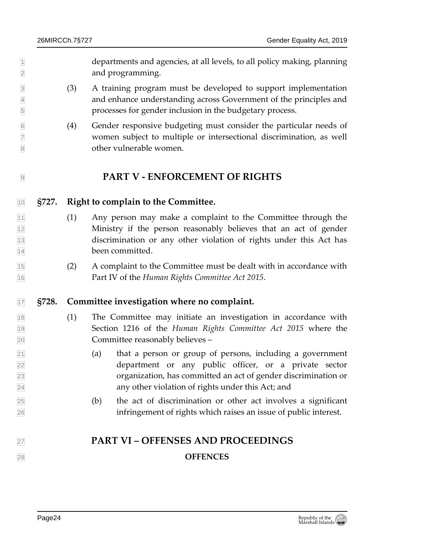departments and agencies, at all levels, to all policy making, planning and programming.

- (3) A training program must be developed to support implementation and enhance understanding across Government of the principles and processes for gender inclusion in the budgetary process.
- (4) Gender responsive budgeting must consider the particular needs of women subject to multiple or intersectional discrimination, as well other vulnerable women.

### <span id="page-23-1"></span><span id="page-23-0"></span>**PART V - ENFORCEMENT OF RIGHTS**

#### **§727. Right to complain to the Committee.**

- (1) Any person may make a complaint to the Committee through the Ministry if the person reasonably believes that an act of gender discrimination or any other violation of rights under this Act has been committed.
- (2) A complaint to the Committee must be dealt with in accordance with Part IV of the *Human Rights Committee Act 2015*.

#### <span id="page-23-2"></span>**§728. Committee investigation where no complaint.**

- (1) The Committee may initiate an investigation in accordance with Section 1216 of the *Human Rights Committee Act 2015* where the Committee reasonably believes –
- (a) that a person or group of persons, including a government department or any public officer, or a private sector organization, has committed an act of gender discrimination or any other violation of rights under this Act; and
- (b) the act of discrimination or other act involves a significant infringement of rights which raises an issue of public interest.

# <span id="page-23-3"></span>**PART VI – OFFENSES AND PROCEEDINGS**

#### **OFFENCES**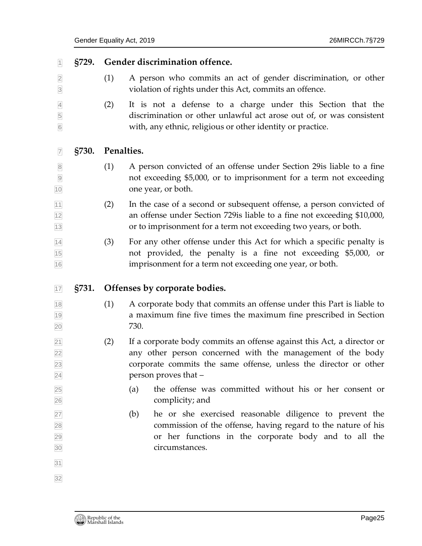<span id="page-24-2"></span><span id="page-24-1"></span><span id="page-24-0"></span>

| S729.        |            | Gender discrimination offence.                                                                                                                                                                                                   |
|--------------|------------|----------------------------------------------------------------------------------------------------------------------------------------------------------------------------------------------------------------------------------|
|              | (1)        | A person who commits an act of gender discrimination, or other<br>violation of rights under this Act, commits an offence.                                                                                                        |
|              | (2)        | It is not a defense to a charge under this Section that the<br>discrimination or other unlawful act arose out of, or was consistent<br>with, any ethnic, religious or other identity or practice.                                |
| <b>§730.</b> | Penalties. |                                                                                                                                                                                                                                  |
|              | (1)        | A person convicted of an offense under Section 29 is liable to a fine<br>not exceeding \$5,000, or to imprisonment for a term not exceeding<br>one year, or both.                                                                |
|              | (2)        | In the case of a second or subsequent offense, a person convicted of<br>an offense under Section 729 is liable to a fine not exceeding \$10,000,<br>or to imprisonment for a term not exceeding two years, or both.              |
|              | (3)        | For any other offense under this Act for which a specific penalty is                                                                                                                                                             |
|              |            | not provided, the penalty is a fine not exceeding \$5,000, or<br>imprisonment for a term not exceeding one year, or both.                                                                                                        |
| §731.        |            | Offenses by corporate bodies.                                                                                                                                                                                                    |
|              | (1)        | A corporate body that commits an offense under this Part is liable to<br>a maximum fine five times the maximum fine prescribed in Section<br>730.                                                                                |
|              | (2)        | If a corporate body commits an offense against this Act, a director or<br>any other person concerned with the management of the body<br>corporate commits the same offense, unless the director or other<br>person proves that - |
|              |            | the offense was committed without his or her consent or<br>(a)<br>complicity; and                                                                                                                                                |
|              |            |                                                                                                                                                                                                                                  |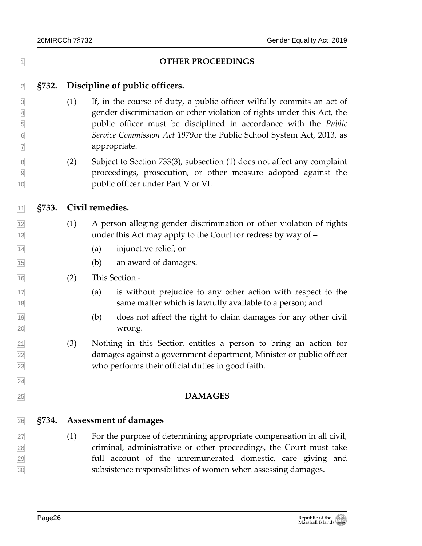<span id="page-25-1"></span><span id="page-25-0"></span>

| $\overline{1}$                                                             |       | <b>OTHER PROCEEDINGS</b> |                                                                                                                                                                                                                                                                                                               |  |  |  |  |  |
|----------------------------------------------------------------------------|-------|--------------------------|---------------------------------------------------------------------------------------------------------------------------------------------------------------------------------------------------------------------------------------------------------------------------------------------------------------|--|--|--|--|--|
| $\overline{2}$                                                             | §732. |                          | Discipline of public officers.                                                                                                                                                                                                                                                                                |  |  |  |  |  |
| $\overline{3}$<br>$\overline{4}$<br>5<br>$6\overline{6}$<br>$\overline{7}$ |       | (1)                      | If, in the course of duty, a public officer wilfully commits an act of<br>gender discrimination or other violation of rights under this Act, the<br>public officer must be disciplined in accordance with the Public<br>Service Commission Act 1979 or the Public School System Act, 2013, as<br>appropriate. |  |  |  |  |  |
| $\overline{8}$<br>$\overline{9}$<br>10                                     |       | (2)                      | Subject to Section 733(3), subsection (1) does not affect any complaint<br>proceedings, prosecution, or other measure adopted against the<br>public officer under Part V or VI.                                                                                                                               |  |  |  |  |  |
| 11                                                                         | §733. |                          | Civil remedies.                                                                                                                                                                                                                                                                                               |  |  |  |  |  |
| 12<br>13                                                                   |       | (1)                      | A person alleging gender discrimination or other violation of rights<br>under this Act may apply to the Court for redress by way of -                                                                                                                                                                         |  |  |  |  |  |
| 14                                                                         |       |                          | injunctive relief; or<br>(a)                                                                                                                                                                                                                                                                                  |  |  |  |  |  |
| 15                                                                         |       |                          | an award of damages.<br>(b)                                                                                                                                                                                                                                                                                   |  |  |  |  |  |
| 16                                                                         |       | (2)                      | This Section -                                                                                                                                                                                                                                                                                                |  |  |  |  |  |
| 17<br>18                                                                   |       |                          | is without prejudice to any other action with respect to the<br>(a)<br>same matter which is lawfully available to a person; and                                                                                                                                                                               |  |  |  |  |  |
| 19<br>20                                                                   |       |                          | does not affect the right to claim damages for any other civil<br>(b)<br>wrong.                                                                                                                                                                                                                               |  |  |  |  |  |
| $\overline{21}$<br>22<br>23                                                |       | (3)                      | Nothing in this Section entitles a person to bring an action for<br>damages against a government department, Minister or public officer<br>who performs their official duties in good faith.                                                                                                                  |  |  |  |  |  |
| 24                                                                         |       |                          |                                                                                                                                                                                                                                                                                                               |  |  |  |  |  |
| 25                                                                         |       |                          | <b>DAMAGES</b>                                                                                                                                                                                                                                                                                                |  |  |  |  |  |
| 26                                                                         | §734. |                          | <b>Assessment of damages</b>                                                                                                                                                                                                                                                                                  |  |  |  |  |  |
| 27<br>28<br>29<br>30                                                       |       | (1)                      | For the purpose of determining appropriate compensation in all civil,<br>criminal, administrative or other proceedings, the Court must take<br>full account of the unremunerated domestic, care giving and<br>subsistence responsibilities of women when assessing damages.                                   |  |  |  |  |  |

<span id="page-25-2"></span>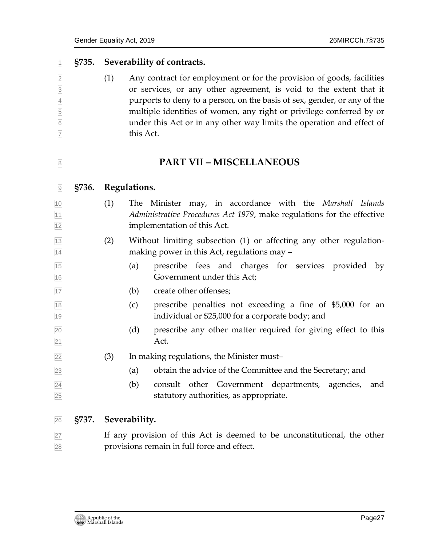#### **§735. Severability of contracts.**

<span id="page-26-0"></span> (1) Any contract for employment or for the provision of goods, facilities or services, or any other agreement, is void to the extent that it purports to deny to a person, on the basis of sex, gender, or any of the multiple identities of women, any right or privilege conferred by or under this Act or in any other way limits the operation and effect of this Act.

#### <span id="page-26-2"></span><span id="page-26-1"></span>**PART VII – MISCELLANEOUS**

#### **§736. Regulations.**

- (1) The Minister may, in accordance with the *Marshall Islands Administrative Procedures Act 1979*, make regulations for the effective implementation of this Act.
- (2) Without limiting subsection (1) or affecting any other regulation-14 making power in this Act, regulations may –
- (a) prescribe fees and charges for services provided by Government under this Act;
- (b) create other offenses;
- (c) prescribe penalties not exceeding a fine of \$5,000 for an individual or \$25,000 for a corporate body; and
- (d) prescribe any other matter required for giving effect to this Act.
- (3) In making regulations, the Minister must–
- (a) obtain the advice of the Committee and the Secretary; and
- (b) consult other Government departments, agencies, and statutory authorities, as appropriate.

#### <span id="page-26-3"></span>**§737. Severability.**

27 If any provision of this Act is deemed to be unconstitutional, the other provisions remain in full force and effect.